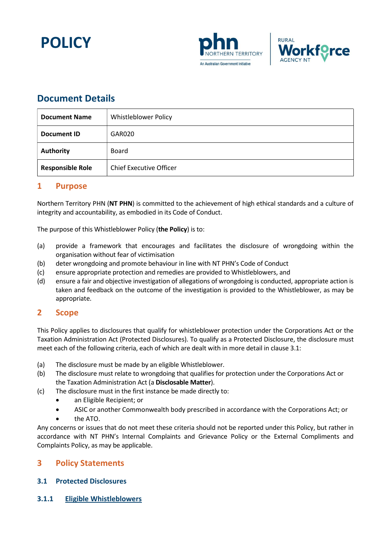





## Document Details

| <b>Document Name</b>    | Whistleblower Policy           |  |
|-------------------------|--------------------------------|--|
| Document ID             | GAR020                         |  |
| <b>Authority</b>        | <b>Board</b>                   |  |
| <b>Responsible Role</b> | <b>Chief Executive Officer</b> |  |

### 1 Purpose

Northern Territory PHN (NT PHN) is committed to the achievement of high ethical standards and a culture of integrity and accountability, as embodied in its Code of Conduct.

The purpose of this Whistleblower Policy (the Policy) is to:

- (a) provide a framework that encourages and facilitates the disclosure of wrongdoing within the organisation without fear of victimisation
- (b) deter wrongdoing and promote behaviour in line with NT PHN's Code of Conduct
- (c) ensure appropriate protection and remedies are provided to Whistleblowers, and
- (d) ensure a fair and objective investigation of allegations of wrongdoing is conducted, appropriate action is taken and feedback on the outcome of the investigation is provided to the Whistleblower, as may be appropriate.

### 2 Scope

This Policy applies to disclosures that qualify for whistleblower protection under the Corporations Act or the Taxation Administration Act (Protected Disclosures). To qualify as a Protected Disclosure, the disclosure must meet each of the following criteria, each of which are dealt with in more detail in clause 3.1:

- (a) The disclosure must be made by an eligible Whistleblower.
- (b) The disclosure must relate to wrongdoing that qualifies for protection under the Corporations Act or the Taxation Administration Act (a Disclosable Matter).
- (c) The disclosure must in the first instance be made directly to:
	- an Eligible Recipient; or
	- ASIC or another Commonwealth body prescribed in accordance with the Corporations Act; or
	- the ATO.

Any concerns or issues that do not meet these criteria should not be reported under this Policy, but rather in accordance with NT PHN's Internal Complaints and Grievance Policy or the External Compliments and Complaints Policy, as may be applicable.

### 3 Policy Statements

### 3.1 Protected Disclosures

3.1.1 Eligible Whistleblowers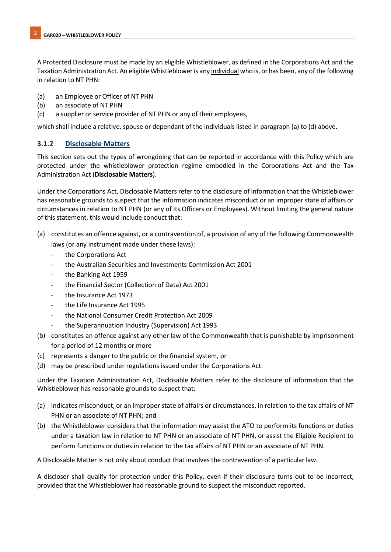A Protected Disclosure must be made by an eligible Whistleblower, as defined in the Corporations Act and the Taxation Administration Act. An eligible Whistleblower is any individual who is, or has been, any of the following in relation to NT PHN:

- (a) an Employee or Officer of NT PHN
- (b) an associate of NT PHN
- (c) a supplier or service provider of NT PHN or any of their employees,

which shall include a relative, spouse or dependant of the individuals listed in paragraph (a) to (d) above.

### 3.1.2 Disclosable Matters

This section sets out the types of wrongdoing that can be reported in accordance with this Policy which are protected under the whistleblower protection regime embodied in the Corporations Act and the Tax Administration Act (Disclosable Matters).

Under the Corporations Act, Disclosable Matters refer to the disclosure of information that the Whistleblower has reasonable grounds to suspect that the information indicates misconduct or an improper state of affairs or circumstances in relation to NT PHN (or any of its Officers or Employees). Without limiting the general nature of this statement, this would include conduct that:

- (a) constitutes an offence against, or a contravention of, a provision of any of the following Commonwealth laws (or any instrument made under these laws):
	- the Corporations Act
	- the Australian Securities and Investments Commission Act 2001
	- the Banking Act 1959
	- the Financial Sector (Collection of Data) Act 2001
	- the Insurance Act 1973
	- the Life Insurance Act 1995
	- the National Consumer Credit Protection Act 2009
	- the Superannuation Industry (Supervision) Act 1993
- (b) constitutes an offence against any other law of the Commonwealth that is punishable by imprisonment for a period of 12 months or more
- (c) represents a danger to the public or the financial system, or
- (d) may be prescribed under regulations issued under the Corporations Act.

Under the Taxation Administration Act, Disclosable Matters refer to the disclosure of information that the Whistleblower has reasonable grounds to suspect that:

- (a) indicates misconduct, or an improper state of affairs or circumstances, in relation to the tax affairs of NT PHN or an associate of NT PHN; and
- (b) the Whistleblower considers that the information may assist the ATO to perform its functions or duties under a taxation law in relation to NT PHN or an associate of NT PHN, or assist the Eligible Recipient to perform functions or duties in relation to the tax affairs of NT PHN or an associate of NT PHN.

A Disclosable Matter is not only about conduct that involves the contravention of a particular law.

A discloser shall qualify for protection under this Policy, even if their disclosure turns out to be incorrect, provided that the Whistleblower had reasonable ground to suspect the misconduct reported.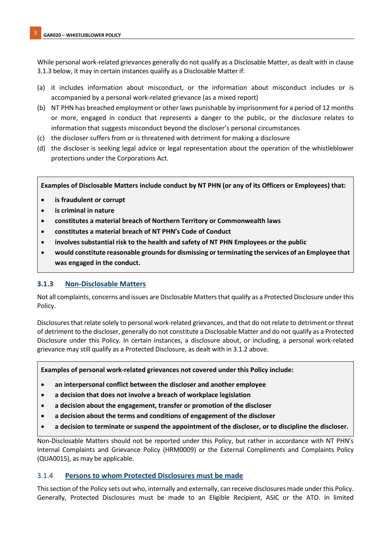While personal work-related grievances generally do not qualify as a Disclosable Matter, as dealt with in clause 3.1.3 below, it may in certain instances qualify as a Disclosable Matter if:

- (a) it includes information about misconduct, or the information about misconduct includes or is accompanied by a personal work-related grievance (as a mixed report)
- (b) NT PHN has breached employment or other laws punishable by imprisonment for a period of 12 months or more, engaged in conduct that represents a danger to the public, or the disclosure relates to information that suggests misconduct beyond the discloser's personal circumstances
- (c) the discloser suffers from or is threatened with detriment for making a disclosure
- (d) the discloser is seeking legal advice or legal representation about the operation of the whistleblower protections under the Corporations Act.

Examples of Disclosable Matters include conduct by NT PHN (or any of its Officers or Employees) that:

- is fraudulent or corrupt
- is criminal in nature
- constitutes a material breach of Northern Territory or Commonwealth laws
- constitutes a material breach of NT PHN's Code of Conduct
- involves substantial risk to the health and safety of NT PHN Employees or the public
- would constitute reasonable grounds for dismissing or terminating the services of an Employee that was engaged in the conduct.

#### 3.1.3 Non-Disclosable Matters

Not all complaints, concerns and issues are Disclosable Matters that qualify as a Protected Disclosure under this Policy.

Disclosures that relate solely to personal work-related grievances, and that do not relate to detriment or threat of detriment to the discloser, generally do not constitute a Disclosable Matter and do not qualify as a Protected Disclosure under this Policy. In certain instances, a disclosure about, or including, a personal work-related grievance may still qualify as a Protected Disclosure, as dealt with in 3.1.2 above.

Examples of personal work-related grievances not covered under this Policy include:

- an interpersonal conflict between the discloser and another employee
- a decision that does not involve a breach of workplace legislation
- a decision about the engagement, transfer or promotion of the discloser
- a decision about the terms and conditions of engagement of the discloser
- a decision to terminate or suspend the appointment of the discloser, or to discipline the discloser.

Non-Disclosable Matters should not be reported under this Policy, but rather in accordance with NT PHN's Internal Complaints and Grievance Policy (HRM0009) or the External Compliments and Complaints Policy (QUA0015), as may be applicable.

#### 3.1.4 Persons to whom Protected Disclosures must be made

This section of the Policy sets out who, internally and externally, can receive disclosures made under this Policy. Generally, Protected Disclosures must be made to an Eligible Recipient, ASIC or the ATO. In limited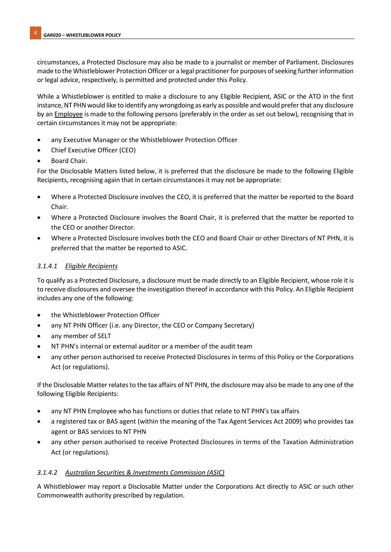circumstances, a Protected Disclosure may also be made to a journalist or member of Parliament. Disclosures made to the Whistleblower Protection Officer or a legal practitioner for purposes of seeking further information or legal advice, respectively, is permitted and protected under this Policy.

While a Whistleblower is entitled to make a disclosure to any Eligible Recipient, ASIC or the ATO in the first instance, NT PHN would like to identify any wrongdoing as early as possible and would prefer that any disclosure by an Employee is made to the following persons (preferably in the order as set out below), recognising that in certain circumstances it may not be appropriate:

- any Executive Manager or the Whistleblower Protection Officer
- Chief Executive Officer (CEO)
- Board Chair.

For the Disclosable Matters listed below, it is preferred that the disclosure be made to the following Eligible Recipients, recognising again that in certain circumstances it may not be appropriate:

- Where a Protected Disclosure involves the CEO, it is preferred that the matter be reported to the Board Chair.
- Where a Protected Disclosure involves the Board Chair, it is preferred that the matter be reported to the CEO or another Director.
- Where a Protected Disclosure involves both the CEO and Board Chair or other Directors of NT PHN, it is preferred that the matter be reported to ASIC.

#### 3.1.4.1 Eligible Recipients

To qualify as a Protected Disclosure, a disclosure must be made directly to an Eligible Recipient, whose role it is to receive disclosures and oversee the investigation thereof in accordance with this Policy. An Eligible Recipient includes any one of the following:

- the Whistleblower Protection Officer
- any NT PHN Officer (i.e. any Director, the CEO or Company Secretary)
- any member of SELT
- NT PHN's internal or external auditor or a member of the audit team
- any other person authorised to receive Protected Disclosures in terms of this Policy or the Corporations Act (or regulations).

If the Disclosable Matter relates to the tax affairs of NT PHN, the disclosure may also be made to any one of the following Eligible Recipients:

- any NT PHN Employee who has functions or duties that relate to NT PHN's tax affairs
- a registered tax or BAS agent (within the meaning of the Tax Agent Services Act 2009) who provides tax agent or BAS services to NT PHN
- any other person authorised to receive Protected Disclosures in terms of the Taxation Administration Act (or regulations).

#### 3.1.4.2 Australian Securities & Investments Commission (ASIC)

A Whistleblower may report a Disclosable Matter under the Corporations Act directly to ASIC or such other Commonwealth authority prescribed by regulation.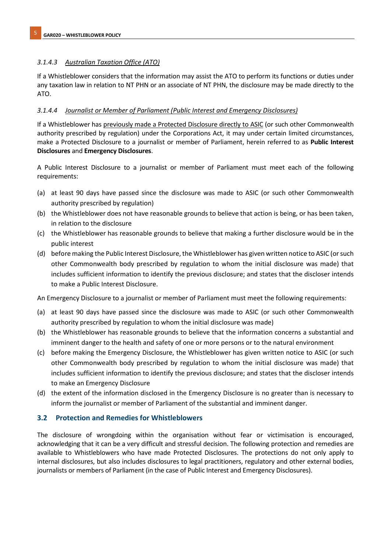### 3.1.4.3 Australian Taxation Office (ATO)

If a Whistleblower considers that the information may assist the ATO to perform its functions or duties under any taxation law in relation to NT PHN or an associate of NT PHN, the disclosure may be made directly to the ATO.

### 3.1.4.4 Journalist or Member of Parliament (Public Interest and Emergency Disclosures)

If a Whistleblower has previously made a Protected Disclosure directly to ASIC (or such other Commonwealth authority prescribed by regulation) under the Corporations Act, it may under certain limited circumstances, make a Protected Disclosure to a journalist or member of Parliament, herein referred to as Public Interest Disclosures and Emergency Disclosures.

A Public Interest Disclosure to a journalist or member of Parliament must meet each of the following requirements:

- (a) at least 90 days have passed since the disclosure was made to ASIC (or such other Commonwealth authority prescribed by regulation)
- (b) the Whistleblower does not have reasonable grounds to believe that action is being, or has been taken, in relation to the disclosure
- (c) the Whistleblower has reasonable grounds to believe that making a further disclosure would be in the public interest
- (d) before making the Public Interest Disclosure, the Whistleblower has given written notice to ASIC (or such other Commonwealth body prescribed by regulation to whom the initial disclosure was made) that includes sufficient information to identify the previous disclosure; and states that the discloser intends to make a Public Interest Disclosure.

An Emergency Disclosure to a journalist or member of Parliament must meet the following requirements:

- (a) at least 90 days have passed since the disclosure was made to ASIC (or such other Commonwealth authority prescribed by regulation to whom the initial disclosure was made)
- (b) the Whistleblower has reasonable grounds to believe that the information concerns a substantial and imminent danger to the health and safety of one or more persons or to the natural environment
- (c) before making the Emergency Disclosure, the Whistleblower has given written notice to ASIC (or such other Commonwealth body prescribed by regulation to whom the initial disclosure was made) that includes sufficient information to identify the previous disclosure; and states that the discloser intends to make an Emergency Disclosure
- (d) the extent of the information disclosed in the Emergency Disclosure is no greater than is necessary to inform the journalist or member of Parliament of the substantial and imminent danger.

### 3.2 Protection and Remedies for Whistleblowers

The disclosure of wrongdoing within the organisation without fear or victimisation is encouraged, acknowledging that it can be a very difficult and stressful decision. The following protection and remedies are available to Whistleblowers who have made Protected Disclosures. The protections do not only apply to internal disclosures, but also includes disclosures to legal practitioners, regulatory and other external bodies, journalists or members of Parliament (in the case of Public Interest and Emergency Disclosures).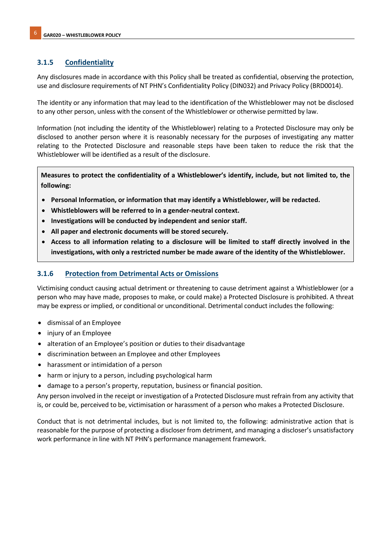### 3.1.5 Confidentiality

Any disclosures made in accordance with this Policy shall be treated as confidential, observing the protection, use and disclosure requirements of NT PHN's Confidentiality Policy (DIN032) and Privacy Policy (BRD0014).

The identity or any information that may lead to the identification of the Whistleblower may not be disclosed to any other person, unless with the consent of the Whistleblower or otherwise permitted by law.

Information (not including the identity of the Whistleblower) relating to a Protected Disclosure may only be disclosed to another person where it is reasonably necessary for the purposes of investigating any matter relating to the Protected Disclosure and reasonable steps have been taken to reduce the risk that the Whistleblower will be identified as a result of the disclosure.

Measures to protect the confidentiality of a Whistleblower's identify, include, but not limited to, the following:

- Personal Information, or information that may identify a Whistleblower, will be redacted.
- Whistleblowers will be referred to in a gender-neutral context.
- Investigations will be conducted by independent and senior staff.
- All paper and electronic documents will be stored securely.
- Access to all information relating to a disclosure will be limited to staff directly involved in the investigations, with only a restricted number be made aware of the identity of the Whistleblower.

### 3.1.6 Protection from Detrimental Acts or Omissions

Victimising conduct causing actual detriment or threatening to cause detriment against a Whistleblower (or a person who may have made, proposes to make, or could make) a Protected Disclosure is prohibited. A threat may be express or implied, or conditional or unconditional. Detrimental conduct includes the following:

- dismissal of an Employee
- injury of an Employee
- alteration of an Employee's position or duties to their disadvantage
- discrimination between an Employee and other Employees
- harassment or intimidation of a person
- harm or injury to a person, including psychological harm
- damage to a person's property, reputation, business or financial position.

Any person involved in the receipt or investigation of a Protected Disclosure must refrain from any activity that is, or could be, perceived to be, victimisation or harassment of a person who makes a Protected Disclosure.

Conduct that is not detrimental includes, but is not limited to, the following: administrative action that is reasonable for the purpose of protecting a discloser from detriment, and managing a discloser's unsatisfactory work performance in line with NT PHN's performance management framework.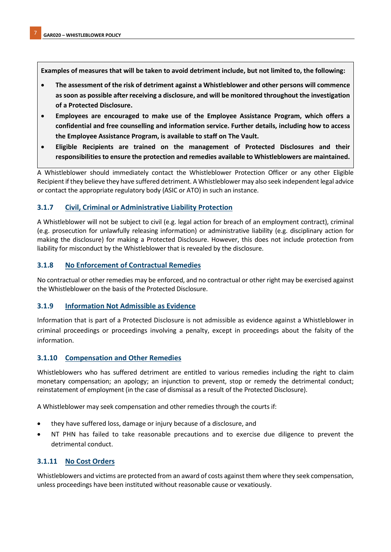Examples of measures that will be taken to avoid detriment include, but not limited to, the following:

- The assessment of the risk of detriment against a Whistleblower and other persons will commence as soon as possible after receiving a disclosure, and will be monitored throughout the investigation of a Protected Disclosure.
- Employees are encouraged to make use of the Employee Assistance Program, which offers a confidential and free counselling and information service. Further details, including how to access the Employee Assistance Program, is available to staff on The Vault.
- Eligible Recipients are trained on the management of Protected Disclosures and their responsibilities to ensure the protection and remedies available to Whistleblowers are maintained.

A Whistleblower should immediately contact the Whistleblower Protection Officer or any other Eligible Recipient if they believe they have suffered detriment. A Whistleblower may also seek independent legal advice or contact the appropriate regulatory body (ASIC or ATO) in such an instance.

### 3.1.7 Civil, Criminal or Administrative Liability Protection

A Whistleblower will not be subject to civil (e.g. legal action for breach of an employment contract), criminal (e.g. prosecution for unlawfully releasing information) or administrative liability (e.g. disciplinary action for making the disclosure) for making a Protected Disclosure. However, this does not include protection from liability for misconduct by the Whistleblower that is revealed by the disclosure.

#### 3.1.8 No Enforcement of Contractual Remedies

No contractual or other remedies may be enforced, and no contractual or other right may be exercised against the Whistleblower on the basis of the Protected Disclosure.

#### 3.1.9 Information Not Admissible as Evidence

Information that is part of a Protected Disclosure is not admissible as evidence against a Whistleblower in criminal proceedings or proceedings involving a penalty, except in proceedings about the falsity of the information.

#### 3.1.10 Compensation and Other Remedies

Whistleblowers who has suffered detriment are entitled to various remedies including the right to claim monetary compensation; an apology; an injunction to prevent, stop or remedy the detrimental conduct; reinstatement of employment (in the case of dismissal as a result of the Protected Disclosure).

A Whistleblower may seek compensation and other remedies through the courts if:

- they have suffered loss, damage or injury because of a disclosure, and
- NT PHN has failed to take reasonable precautions and to exercise due diligence to prevent the detrimental conduct.

#### 3.1.11 No Cost Orders

Whistleblowers and victims are protected from an award of costs against them where they seek compensation, unless proceedings have been instituted without reasonable cause or vexatiously.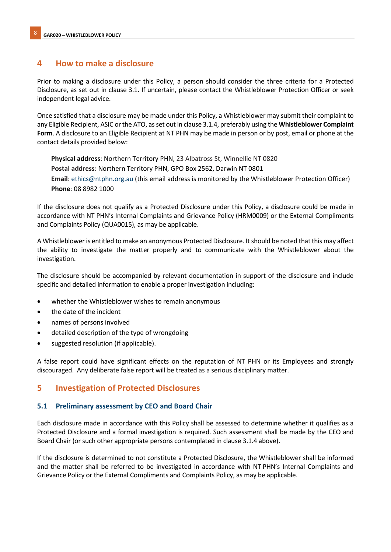### 4 How to make a disclosure

Prior to making a disclosure under this Policy, a person should consider the three criteria for a Protected Disclosure, as set out in clause 3.1. If uncertain, please contact the Whistleblower Protection Officer or seek independent legal advice.

Once satisfied that a disclosure may be made under this Policy, a Whistleblower may submit their complaint to any Eligible Recipient, ASIC or the ATO, as set out in clause 3.1.4, preferably using the Whistleblower Complaint Form. A disclosure to an Eligible Recipient at NT PHN may be made in person or by post, email or phone at the contact details provided below:

Physical address: Northern Territory PHN, 23 Albatross St, Winnellie NT 0820 Postal address: Northern Territory PHN, GPO Box 2562, Darwin NT 0801 Email: ethics@ntphn.org.au (this email address is monitored by the Whistleblower Protection Officer) Phone: 08 8982 1000

If the disclosure does not qualify as a Protected Disclosure under this Policy, a disclosure could be made in accordance with NT PHN's Internal Complaints and Grievance Policy (HRM0009) or the External Compliments and Complaints Policy (QUA0015), as may be applicable.

A Whistleblower is entitled to make an anonymous Protected Disclosure. It should be noted that this may affect the ability to investigate the matter properly and to communicate with the Whistleblower about the investigation.

The disclosure should be accompanied by relevant documentation in support of the disclosure and include specific and detailed information to enable a proper investigation including:

- whether the Whistleblower wishes to remain anonymous
- the date of the incident
- names of persons involved
- detailed description of the type of wrongdoing
- suggested resolution (if applicable).

A false report could have significant effects on the reputation of NT PHN or its Employees and strongly discouraged. Any deliberate false report will be treated as a serious disciplinary matter.

### 5 Investigation of Protected Disclosures

#### 5.1 Preliminary assessment by CEO and Board Chair

Each disclosure made in accordance with this Policy shall be assessed to determine whether it qualifies as a Protected Disclosure and a formal investigation is required. Such assessment shall be made by the CEO and Board Chair (or such other appropriate persons contemplated in clause 3.1.4 above).

If the disclosure is determined to not constitute a Protected Disclosure, the Whistleblower shall be informed and the matter shall be referred to be investigated in accordance with NT PHN's Internal Complaints and Grievance Policy or the External Compliments and Complaints Policy, as may be applicable.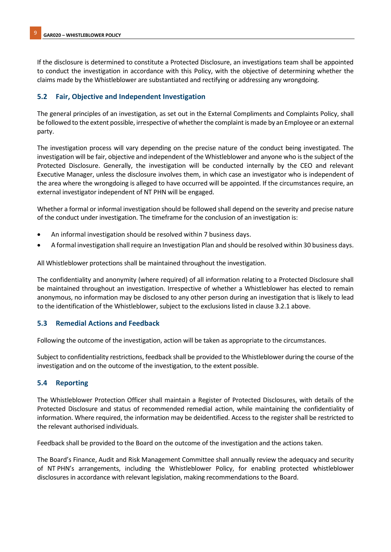If the disclosure is determined to constitute a Protected Disclosure, an investigations team shall be appointed to conduct the investigation in accordance with this Policy, with the objective of determining whether the claims made by the Whistleblower are substantiated and rectifying or addressing any wrongdoing.

### 5.2 Fair, Objective and Independent Investigation

The general principles of an investigation, as set out in the External Compliments and Complaints Policy, shall be followed to the extent possible, irrespective of whether the complaint is made by an Employee or an external party.

The investigation process will vary depending on the precise nature of the conduct being investigated. The investigation will be fair, objective and independent of the Whistleblower and anyone who is the subject of the Protected Disclosure. Generally, the investigation will be conducted internally by the CEO and relevant Executive Manager, unless the disclosure involves them, in which case an investigator who is independent of the area where the wrongdoing is alleged to have occurred will be appointed. If the circumstances require, an external investigator independent of NT PHN will be engaged.

Whether a formal or informal investigation should be followed shall depend on the severity and precise nature of the conduct under investigation. The timeframe for the conclusion of an investigation is:

- An informal investigation should be resolved within 7 business days.
- A formal investigation shall require an Investigation Plan and should be resolved within 30 business days.

All Whistleblower protections shall be maintained throughout the investigation.

The confidentiality and anonymity (where required) of all information relating to a Protected Disclosure shall be maintained throughout an investigation. Irrespective of whether a Whistleblower has elected to remain anonymous, no information may be disclosed to any other person during an investigation that is likely to lead to the identification of the Whistleblower, subject to the exclusions listed in clause 3.2.1 above.

#### 5.3 Remedial Actions and Feedback

Following the outcome of the investigation, action will be taken as appropriate to the circumstances.

Subject to confidentiality restrictions, feedback shall be provided to the Whistleblower during the course of the investigation and on the outcome of the investigation, to the extent possible.

### 5.4 Reporting

The Whistleblower Protection Officer shall maintain a Register of Protected Disclosures, with details of the Protected Disclosure and status of recommended remedial action, while maintaining the confidentiality of information. Where required, the information may be deidentified. Access to the register shall be restricted to the relevant authorised individuals.

Feedback shall be provided to the Board on the outcome of the investigation and the actions taken.

The Board's Finance, Audit and Risk Management Committee shall annually review the adequacy and security of NT PHN's arrangements, including the Whistleblower Policy, for enabling protected whistleblower disclosures in accordance with relevant legislation, making recommendations to the Board.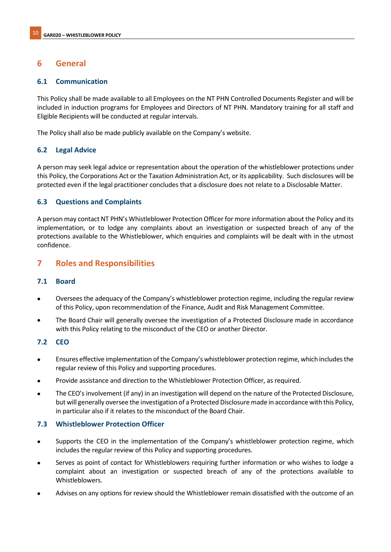### 6 General

#### 6.1 Communication

This Policy shall be made available to all Employees on the NT PHN Controlled Documents Register and will be included in induction programs for Employees and Directors of NT PHN. Mandatory training for all staff and Eligible Recipients will be conducted at regular intervals.

The Policy shall also be made publicly available on the Company's website.

#### 6.2 Legal Advice

A person may seek legal advice or representation about the operation of the whistleblower protections under this Policy, the Corporations Act or the Taxation Administration Act, or its applicability. Such disclosures will be protected even if the legal practitioner concludes that a disclosure does not relate to a Disclosable Matter.

#### 6.3 Questions and Complaints

A person may contact NT PHN's Whistleblower Protection Officer for more information about the Policy and its implementation, or to lodge any complaints about an investigation or suspected breach of any of the protections available to the Whistleblower, which enquiries and complaints will be dealt with in the utmost confidence.

### 7 Roles and Responsibilities

#### 7.1 Board

- Oversees the adequacy of the Company's whistleblower protection regime, including the regular review of this Policy, upon recommendation of the Finance, Audit and Risk Management Committee.
- The Board Chair will generally oversee the investigation of a Protected Disclosure made in accordance with this Policy relating to the misconduct of the CEO or another Director.

#### 7.2 CEO

- Ensures effective implementation of the Company's whistleblower protection regime, which includes the regular review of this Policy and supporting procedures.
- Provide assistance and direction to the Whistleblower Protection Officer, as required.
- The CEO's involvement (if any) in an investigation will depend on the nature of the Protected Disclosure, but will generally oversee the investigation of a Protected Disclosure made in accordance with this Policy, in particular also if it relates to the misconduct of the Board Chair.

#### 7.3 Whistleblower Protection Officer

- Supports the CEO in the implementation of the Company's whistleblower protection regime, which includes the regular review of this Policy and supporting procedures.
- Serves as point of contact for Whistleblowers requiring further information or who wishes to lodge a complaint about an investigation or suspected breach of any of the protections available to Whistleblowers.
- Advises on any options for review should the Whistleblower remain dissatisfied with the outcome of an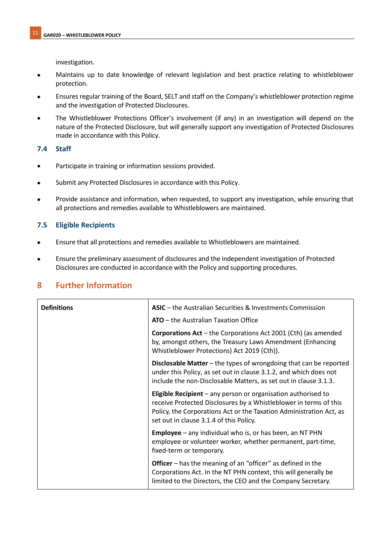investigation.

- Maintains up to date knowledge of relevant legislation and best practice relating to whistleblower protection.
- Ensures regular training of the Board, SELT and staff on the Company's whistleblower protection regime and the investigation of Protected Disclosures.
- The Whistleblower Protections Officer's involvement (if any) in an investigation will depend on the nature of the Protected Disclosure, but will generally support any investigation of Protected Disclosures made in accordance with this Policy.

### 7.4 Staff

- Participate in training or information sessions provided.
- Submit any Protected Disclosures in accordance with this Policy.
- Provide assistance and information, when requested, to support any investigation, while ensuring that all protections and remedies available to Whistleblowers are maintained.

### 7.5 Eligible Recipients

- Ensure that all protections and remedies available to Whistleblowers are maintained.
- Ensure the preliminary assessment of disclosures and the independent investigation of Protected Disclosures are conducted in accordance with the Policy and supporting procedures.

### 8 Further Information

| <b>Definitions</b> | ASIC – the Australian Securities & Investments Commission                                                                                                                                                                                                     |
|--------------------|---------------------------------------------------------------------------------------------------------------------------------------------------------------------------------------------------------------------------------------------------------------|
|                    | <b>ATO</b> – the Australian Taxation Office                                                                                                                                                                                                                   |
|                    | <b>Corporations Act</b> – the Corporations Act 2001 (Cth) (as amended<br>by, amongst others, the Treasury Laws Amendment (Enhancing<br>Whistleblower Protections) Act 2019 (Cth)).                                                                            |
|                    | Disclosable Matter - the types of wrongdoing that can be reported<br>under this Policy, as set out in clause 3.1.2, and which does not<br>include the non-Disclosable Matters, as set out in clause 3.1.3.                                                    |
|                    | <b>Eligible Recipient</b> $-$ any person or organisation authorised to<br>receive Protected Disclosures by a Whistleblower in terms of this<br>Policy, the Corporations Act or the Taxation Administration Act, as<br>set out in clause 3.1.4 of this Policy. |
|                    | <b>Employee</b> $-$ any individual who is, or has been, an NT PHN<br>employee or volunteer worker, whether permanent, part-time,<br>fixed-term or temporary.                                                                                                  |
|                    | <b>Officer</b> – has the meaning of an "officer" as defined in the<br>Corporations Act. In the NT PHN context, this will generally be<br>limited to the Directors, the CEO and the Company Secretary.                                                         |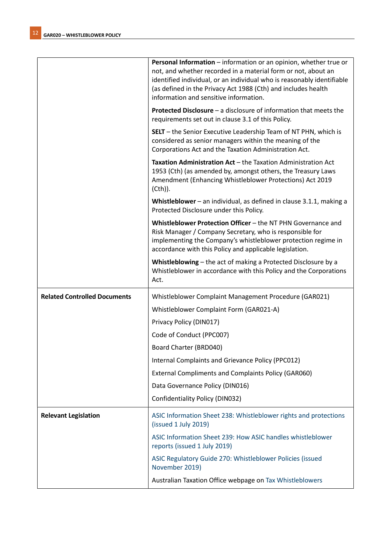|                                     | Personal Information - information or an opinion, whether true or<br>not, and whether recorded in a material form or not, about an<br>identified individual, or an individual who is reasonably identifiable<br>(as defined in the Privacy Act 1988 (Cth) and includes health<br>information and sensitive information. |
|-------------------------------------|-------------------------------------------------------------------------------------------------------------------------------------------------------------------------------------------------------------------------------------------------------------------------------------------------------------------------|
|                                     | <b>Protected Disclosure</b> – a disclosure of information that meets the<br>requirements set out in clause 3.1 of this Policy.                                                                                                                                                                                          |
|                                     | <b>SELT</b> - the Senior Executive Leadership Team of NT PHN, which is<br>considered as senior managers within the meaning of the<br>Corporations Act and the Taxation Administration Act.                                                                                                                              |
|                                     | Taxation Administration Act - the Taxation Administration Act<br>1953 (Cth) (as amended by, amongst others, the Treasury Laws<br>Amendment (Enhancing Whistleblower Protections) Act 2019<br>$(Cth)$ ).                                                                                                                 |
|                                     | Whistleblower - an individual, as defined in clause 3.1.1, making a<br>Protected Disclosure under this Policy.                                                                                                                                                                                                          |
|                                     | Whistleblower Protection Officer - the NT PHN Governance and<br>Risk Manager / Company Secretary, who is responsible for<br>implementing the Company's whistleblower protection regime in<br>accordance with this Policy and applicable legislation.                                                                    |
|                                     | Whistleblowing - the act of making a Protected Disclosure by a<br>Whistleblower in accordance with this Policy and the Corporations<br>Act.                                                                                                                                                                             |
| <b>Related Controlled Documents</b> | Whistleblower Complaint Management Procedure (GAR021)                                                                                                                                                                                                                                                                   |
|                                     | Whistleblower Complaint Form (GAR021-A)                                                                                                                                                                                                                                                                                 |
|                                     | Privacy Policy (DIN017)                                                                                                                                                                                                                                                                                                 |
|                                     | Code of Conduct (PPC007)                                                                                                                                                                                                                                                                                                |
|                                     | Board Charter (BRD040)                                                                                                                                                                                                                                                                                                  |
|                                     | Internal Complaints and Grievance Policy (PPC012)                                                                                                                                                                                                                                                                       |
|                                     | <b>External Compliments and Complaints Policy (GAR060)</b>                                                                                                                                                                                                                                                              |
|                                     | Data Governance Policy (DIN016)                                                                                                                                                                                                                                                                                         |
|                                     | Confidentiality Policy (DIN032)                                                                                                                                                                                                                                                                                         |
| <b>Relevant Legislation</b>         | ASIC Information Sheet 238: Whistleblower rights and protections<br>(issued 1 July 2019)                                                                                                                                                                                                                                |
|                                     | ASIC Information Sheet 239: How ASIC handles whistleblower<br>reports (issued 1 July 2019)                                                                                                                                                                                                                              |
|                                     | ASIC Regulatory Guide 270: Whistleblower Policies (issued<br>November 2019)                                                                                                                                                                                                                                             |
|                                     | Australian Taxation Office webpage on Tax Whistleblowers                                                                                                                                                                                                                                                                |